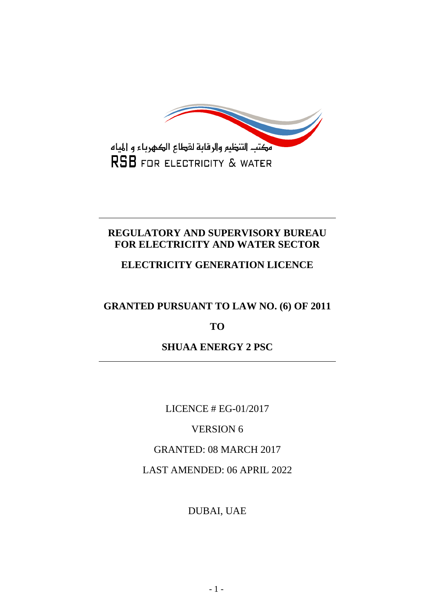

# **REGULATORY AND SUPERVISORY BUREAU FOR ELECTRICITY AND WATER SECTOR**

# **ELECTRICITY GENERATION LICENCE**

# **GRANTED PURSUANT TO LAW NO. (6) OF 2011**

## **TO**

## **SHUAA ENERGY 2 PSC**

LICENCE # EG-01/2017

VERSION 6

GRANTED: 08 MARCH 2017

LAST AMENDED: 06 APRIL 2022

DUBAI, UAE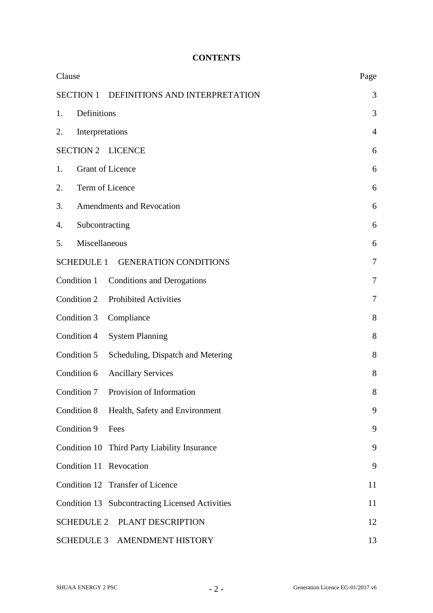## **CONTENTS**

| Clause                                             | Page |  |
|----------------------------------------------------|------|--|
| <b>SECTION 1</b><br>DEFINITIONS AND INTERPRETATION | 3    |  |
| Definitions<br>1.                                  | 3    |  |
| Interpretations<br>2.                              |      |  |
| <b>SECTION 2</b><br><b>LICENCE</b>                 | 6    |  |
| <b>Grant of Licence</b><br>1.                      |      |  |
| Term of Licence<br>2.                              |      |  |
| <b>Amendments and Revocation</b><br>3.             | 6    |  |
| Subcontracting<br>4.                               | 6    |  |
| Miscellaneous<br>5.                                | 6    |  |
| SCHEDULE 1 GENERATION CONDITIONS                   | 7    |  |
| Condition 1<br><b>Conditions and Derogations</b>   | 7    |  |
| Condition 2<br><b>Prohibited Activities</b>        | 7    |  |
| Condition 3<br>Compliance                          | 8    |  |
| Condition 4<br><b>System Planning</b>              | 8    |  |
| Condition 5<br>Scheduling, Dispatch and Metering   | 8    |  |
| Condition 6<br><b>Ancillary Services</b>           | 8    |  |
| Provision of Information<br>Condition 7            | 8    |  |
| Condition 8<br>Health, Safety and Environment      | 9    |  |
| Condition 9<br>Fees                                | 9    |  |
| Condition 10<br>Third Party Liability Insurance    | 9    |  |
| Condition 11 Revocation                            | 9    |  |
| Condition 12 Transfer of Licence                   | 11   |  |
| Condition 13 Subcontracting Licensed Activities    | 11   |  |
| <b>SCHEDULE 2</b><br>PLANT DESCRIPTION             | 12   |  |
| <b>SCHEDULE 3</b><br>AMENDMENT HISTORY             | 13   |  |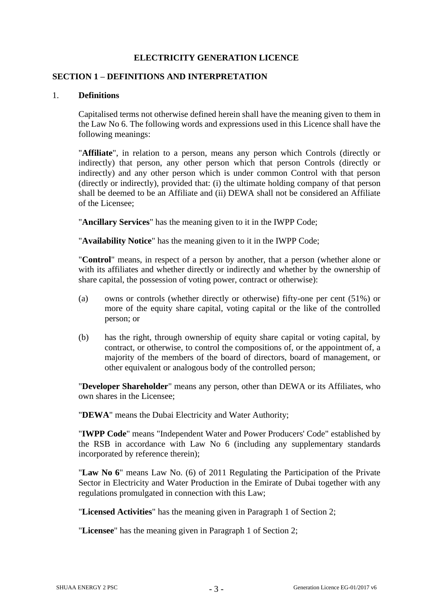### **ELECTRICITY GENERATION LICENCE**

#### **SECTION 1 – DEFINITIONS AND INTERPRETATION**

#### 1. **Definitions**

Capitalised terms not otherwise defined herein shall have the meaning given to them in the Law No 6. The following words and expressions used in this Licence shall have the following meanings:

"**Affiliate**", in relation to a person, means any person which Controls (directly or indirectly) that person, any other person which that person Controls (directly or indirectly) and any other person which is under common Control with that person (directly or indirectly), provided that: (i) the ultimate holding company of that person shall be deemed to be an Affiliate and (ii) DEWA shall not be considered an Affiliate of the Licensee;

"**Ancillary Services**" has the meaning given to it in the IWPP Code;

"**Availability Notice**" has the meaning given to it in the IWPP Code;

"**Control**" means, in respect of a person by another, that a person (whether alone or with its affiliates and whether directly or indirectly and whether by the ownership of share capital, the possession of voting power, contract or otherwise):

- (a) owns or controls (whether directly or otherwise) fifty-one per cent (51%) or more of the equity share capital, voting capital or the like of the controlled person; or
- (b) has the right, through ownership of equity share capital or voting capital, by contract, or otherwise, to control the compositions of, or the appointment of, a majority of the members of the board of directors, board of management, or other equivalent or analogous body of the controlled person;

"**Developer Shareholder**" means any person, other than DEWA or its Affiliates, who own shares in the Licensee;

"**DEWA**" means the Dubai Electricity and Water Authority;

"**IWPP Code**" means "Independent Water and Power Producers' Code" established by the RSB in accordance with Law No 6 (including any supplementary standards incorporated by reference therein);

"**Law No 6**" means Law No. (6) of 2011 Regulating the Participation of the Private Sector in Electricity and Water Production in the Emirate of Dubai together with any regulations promulgated in connection with this Law;

"**Licensed Activities**" has the meaning given in Paragraph 1 of Section 2;

"**Licensee**" has the meaning given in Paragraph 1 of Section 2;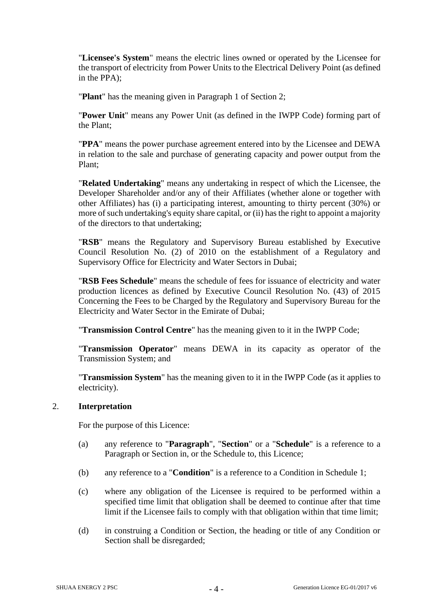"**Licensee's System**" means the electric lines owned or operated by the Licensee for the transport of electricity from Power Units to the Electrical Delivery Point (as defined in the PPA);

"**Plant**" has the meaning given in Paragraph 1 of Section 2;

"**Power Unit**" means any Power Unit (as defined in the IWPP Code) forming part of the Plant;

"**PPA**" means the power purchase agreement entered into by the Licensee and DEWA in relation to the sale and purchase of generating capacity and power output from the Plant;

"**Related Undertaking**" means any undertaking in respect of which the Licensee, the Developer Shareholder and/or any of their Affiliates (whether alone or together with other Affiliates) has (i) a participating interest, amounting to thirty percent (30%) or more of such undertaking's equity share capital, or (ii) has the right to appoint a majority of the directors to that undertaking;

"**RSB**" means the Regulatory and Supervisory Bureau established by Executive Council Resolution No. (2) of 2010 on the establishment of a Regulatory and Supervisory Office for Electricity and Water Sectors in Dubai;

"**RSB Fees Schedule**" means the schedule of fees for issuance of electricity and water production licences as defined by Executive Council Resolution No. (43) of 2015 Concerning the Fees to be Charged by the Regulatory and Supervisory Bureau for the Electricity and Water Sector in the Emirate of Dubai;

"**Transmission Control Centre**" has the meaning given to it in the IWPP Code;

"**Transmission Operator**" means DEWA in its capacity as operator of the Transmission System; and

"**Transmission System**" has the meaning given to it in the IWPP Code (as it applies to electricity).

#### 2. **Interpretation**

For the purpose of this Licence:

- (a) any reference to "**Paragraph**", "**Section**" or a "**Schedule**" is a reference to a Paragraph or Section in, or the Schedule to, this Licence;
- (b) any reference to a "**Condition**" is a reference to a Condition in Schedule 1;
- (c) where any obligation of the Licensee is required to be performed within a specified time limit that obligation shall be deemed to continue after that time limit if the Licensee fails to comply with that obligation within that time limit;
- (d) in construing a Condition or Section, the heading or title of any Condition or Section shall be disregarded;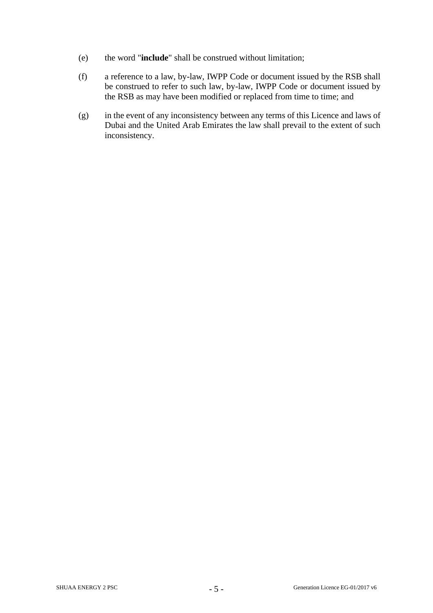- (e) the word "**include**" shall be construed without limitation;
- (f) a reference to a law, by-law, IWPP Code or document issued by the RSB shall be construed to refer to such law, by-law, IWPP Code or document issued by the RSB as may have been modified or replaced from time to time; and
- (g) in the event of any inconsistency between any terms of this Licence and laws of Dubai and the United Arab Emirates the law shall prevail to the extent of such inconsistency.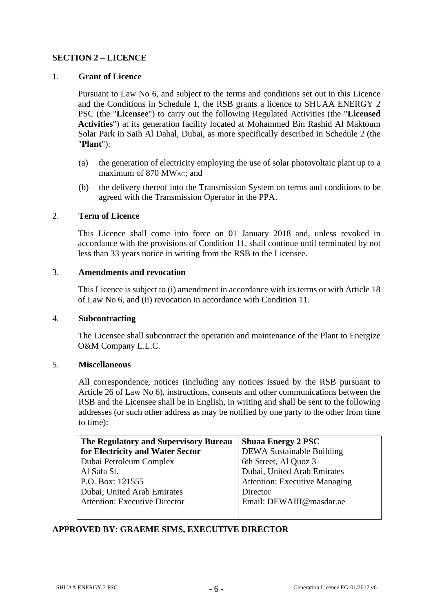## **SECTION 2 – LICENCE**

### 1. **Grant of Licence**

Pursuant to Law No 6, and subject to the terms and conditions set out in this Licence and the Conditions in Schedule 1, the RSB grants a licence to SHUAA ENERGY 2 PSC (the "**Licensee**") to carry out the following Regulated Activities (the "**Licensed Activities**") at its generation facility located at Mohammed Bin Rashid Al Maktoum Solar Park in Saih Al Dahal, Dubai, as more specifically described in Schedule 2 (the "**Plant**"):

- (a) the generation of electricity employing the use of solar photovoltaic plant up to a maximum of 870 MW<sub>AC</sub>; and
- (b) the delivery thereof into the Transmission System on terms and conditions to be agreed with the Transmission Operator in the PPA.

#### 2. **Term of Licence**

This Licence shall come into force on 01 January 2018 and, unless revoked in accordance with the provisions of Condition 11, shall continue until terminated by not less than 33 years notice in writing from the RSB to the Licensee.

### 3. **Amendments and revocation**

This Licence is subject to (i) amendment in accordance with its terms or with Article 18 of Law No 6, and (ii) revocation in accordance with Condition 11.

#### 4. **Subcontracting**

The Licensee shall subcontract the operation and maintenance of the Plant to Energize O&M Company L.L.C.

#### 5. **Miscellaneous**

All correspondence, notices (including any notices issued by the RSB pursuant to Article 26 of Law No 6), instructions, consents and other communications between the RSB and the Licensee shall be in English, in writing and shall be sent to the following addresses (or such other address as may be notified by one party to the other from time to time):

| The Regulatory and Supervisory Bureau | <b>Shuaa Energy 2 PSC</b>            |
|---------------------------------------|--------------------------------------|
| for Electricity and Water Sector      | <b>DEWA Sustainable Building</b>     |
| Dubai Petroleum Complex               | 6th Street, Al Quoz 3                |
| Al Safa St.                           | Dubai, United Arab Emirates          |
| P.O. Box: 121555                      | <b>Attention: Executive Managing</b> |
| Dubai, United Arab Emirates           | Director                             |
| <b>Attention: Executive Director</b>  | Email: DEWAIII@masdar.ae             |
|                                       |                                      |

## **APPROVED BY: GRAEME SIMS, EXECUTIVE DIRECTOR**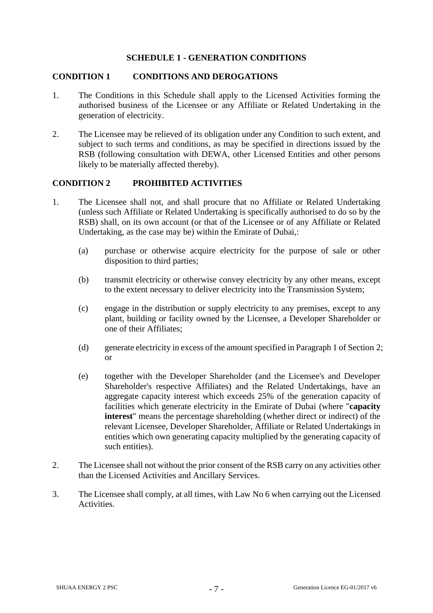### **SCHEDULE 1 - GENERATION CONDITIONS**

#### **CONDITION 1 CONDITIONS AND DEROGATIONS**

- 1. The Conditions in this Schedule shall apply to the Licensed Activities forming the authorised business of the Licensee or any Affiliate or Related Undertaking in the generation of electricity.
- 2. The Licensee may be relieved of its obligation under any Condition to such extent, and subject to such terms and conditions, as may be specified in directions issued by the RSB (following consultation with DEWA, other Licensed Entities and other persons likely to be materially affected thereby).

#### **CONDITION 2 PROHIBITED ACTIVITIES**

- 1. The Licensee shall not, and shall procure that no Affiliate or Related Undertaking (unless such Affiliate or Related Undertaking is specifically authorised to do so by the RSB) shall, on its own account (or that of the Licensee or of any Affiliate or Related Undertaking, as the case may be) within the Emirate of Dubai,:
	- (a) purchase or otherwise acquire electricity for the purpose of sale or other disposition to third parties;
	- (b) transmit electricity or otherwise convey electricity by any other means, except to the extent necessary to deliver electricity into the Transmission System;
	- (c) engage in the distribution or supply electricity to any premises, except to any plant, building or facility owned by the Licensee, a Developer Shareholder or one of their Affiliates;
	- (d) generate electricity in excess of the amount specified in Paragraph 1 of Section 2; or
	- (e) together with the Developer Shareholder (and the Licensee's and Developer Shareholder's respective Affiliates) and the Related Undertakings, have an aggregate capacity interest which exceeds 25% of the generation capacity of facilities which generate electricity in the Emirate of Dubai (where "**capacity interest**" means the percentage shareholding (whether direct or indirect) of the relevant Licensee, Developer Shareholder, Affiliate or Related Undertakings in entities which own generating capacity multiplied by the generating capacity of such entities).
- 2. The Licensee shall not without the prior consent of the RSB carry on any activities other than the Licensed Activities and Ancillary Services.
- 3. The Licensee shall comply, at all times, with Law No 6 when carrying out the Licensed Activities.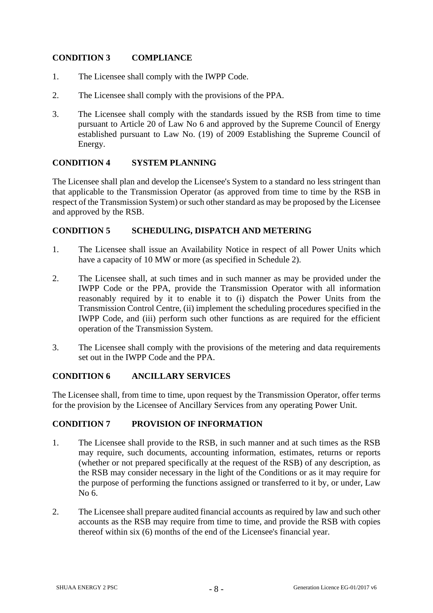## **CONDITION 3 COMPLIANCE**

- 1. The Licensee shall comply with the IWPP Code.
- 2. The Licensee shall comply with the provisions of the PPA.
- 3. The Licensee shall comply with the standards issued by the RSB from time to time pursuant to Article 20 of Law No 6 and approved by the Supreme Council of Energy established pursuant to Law No. (19) of 2009 Establishing the Supreme Council of Energy.

## **CONDITION 4 SYSTEM PLANNING**

The Licensee shall plan and develop the Licensee's System to a standard no less stringent than that applicable to the Transmission Operator (as approved from time to time by the RSB in respect of the Transmission System) or such other standard as may be proposed by the Licensee and approved by the RSB.

## **CONDITION 5 SCHEDULING, DISPATCH AND METERING**

- 1. The Licensee shall issue an Availability Notice in respect of all Power Units which have a capacity of 10 MW or more (as specified in Schedule 2).
- 2. The Licensee shall, at such times and in such manner as may be provided under the IWPP Code or the PPA, provide the Transmission Operator with all information reasonably required by it to enable it to (i) dispatch the Power Units from the Transmission Control Centre, (ii) implement the scheduling procedures specified in the IWPP Code, and (iii) perform such other functions as are required for the efficient operation of the Transmission System.
- 3. The Licensee shall comply with the provisions of the metering and data requirements set out in the IWPP Code and the PPA.

## **CONDITION 6 ANCILLARY SERVICES**

The Licensee shall, from time to time, upon request by the Transmission Operator, offer terms for the provision by the Licensee of Ancillary Services from any operating Power Unit.

## **CONDITION 7 PROVISION OF INFORMATION**

- 1. The Licensee shall provide to the RSB, in such manner and at such times as the RSB may require, such documents, accounting information, estimates, returns or reports (whether or not prepared specifically at the request of the RSB) of any description, as the RSB may consider necessary in the light of the Conditions or as it may require for the purpose of performing the functions assigned or transferred to it by, or under, Law No 6.
- 2. The Licensee shall prepare audited financial accounts as required by law and such other accounts as the RSB may require from time to time, and provide the RSB with copies thereof within six (6) months of the end of the Licensee's financial year.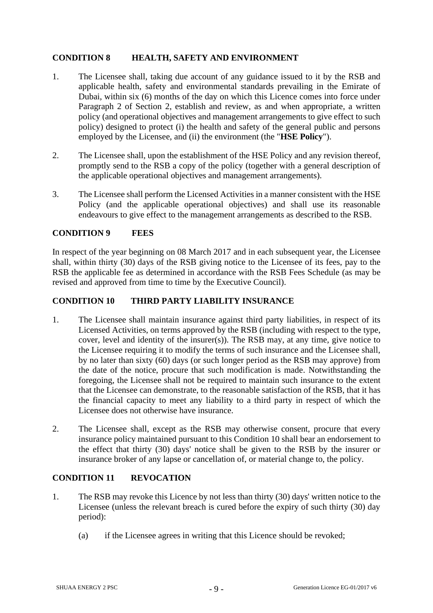## **CONDITION 8 HEALTH, SAFETY AND ENVIRONMENT**

- 1. The Licensee shall, taking due account of any guidance issued to it by the RSB and applicable health, safety and environmental standards prevailing in the Emirate of Dubai, within six (6) months of the day on which this Licence comes into force under Paragraph 2 of Section 2, establish and review, as and when appropriate, a written policy (and operational objectives and management arrangements to give effect to such policy) designed to protect (i) the health and safety of the general public and persons employed by the Licensee, and (ii) the environment (the "**HSE Policy**").
- 2. The Licensee shall, upon the establishment of the HSE Policy and any revision thereof, promptly send to the RSB a copy of the policy (together with a general description of the applicable operational objectives and management arrangements).
- 3. The Licensee shall perform the Licensed Activities in a manner consistent with the HSE Policy (and the applicable operational objectives) and shall use its reasonable endeavours to give effect to the management arrangements as described to the RSB.

#### **CONDITION 9 FEES**

In respect of the year beginning on 08 March 2017 and in each subsequent year, the Licensee shall, within thirty (30) days of the RSB giving notice to the Licensee of its fees, pay to the RSB the applicable fee as determined in accordance with the RSB Fees Schedule (as may be revised and approved from time to time by the Executive Council).

### **CONDITION 10 THIRD PARTY LIABILITY INSURANCE**

- 1. The Licensee shall maintain insurance against third party liabilities, in respect of its Licensed Activities, on terms approved by the RSB (including with respect to the type, cover, level and identity of the insurer(s)). The RSB may, at any time, give notice to the Licensee requiring it to modify the terms of such insurance and the Licensee shall, by no later than sixty (60) days (or such longer period as the RSB may approve) from the date of the notice, procure that such modification is made. Notwithstanding the foregoing, the Licensee shall not be required to maintain such insurance to the extent that the Licensee can demonstrate, to the reasonable satisfaction of the RSB, that it has the financial capacity to meet any liability to a third party in respect of which the Licensee does not otherwise have insurance.
- 2. The Licensee shall, except as the RSB may otherwise consent, procure that every insurance policy maintained pursuant to this Condition 10 shall bear an endorsement to the effect that thirty (30) days' notice shall be given to the RSB by the insurer or insurance broker of any lapse or cancellation of, or material change to, the policy.

## **CONDITION 11 REVOCATION**

- 1. The RSB may revoke this Licence by not less than thirty (30) days' written notice to the Licensee (unless the relevant breach is cured before the expiry of such thirty (30) day period):
	- (a) if the Licensee agrees in writing that this Licence should be revoked;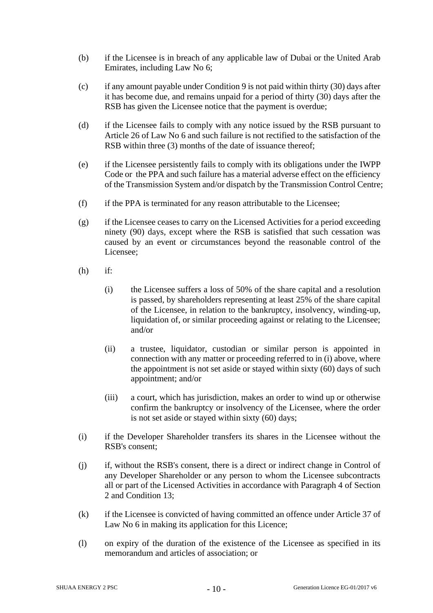- (b) if the Licensee is in breach of any applicable law of Dubai or the United Arab Emirates, including Law No 6;
- (c) if any amount payable under Condition 9 is not paid within thirty (30) days after it has become due, and remains unpaid for a period of thirty (30) days after the RSB has given the Licensee notice that the payment is overdue;
- (d) if the Licensee fails to comply with any notice issued by the RSB pursuant to Article 26 of Law No 6 and such failure is not rectified to the satisfaction of the RSB within three (3) months of the date of issuance thereof;
- (e) if the Licensee persistently fails to comply with its obligations under the IWPP Code or the PPA and such failure has a material adverse effect on the efficiency of the Transmission System and/or dispatch by the Transmission Control Centre;
- (f) if the PPA is terminated for any reason attributable to the Licensee;
- (g) if the Licensee ceases to carry on the Licensed Activities for a period exceeding ninety (90) days, except where the RSB is satisfied that such cessation was caused by an event or circumstances beyond the reasonable control of the Licensee;
- (h) if:
	- (i) the Licensee suffers a loss of 50% of the share capital and a resolution is passed, by shareholders representing at least 25% of the share capital of the Licensee, in relation to the bankruptcy, insolvency, winding-up, liquidation of, or similar proceeding against or relating to the Licensee; and/or
	- (ii) a trustee, liquidator, custodian or similar person is appointed in connection with any matter or proceeding referred to in (i) above, where the appointment is not set aside or stayed within sixty (60) days of such appointment; and/or
	- (iii) a court, which has jurisdiction, makes an order to wind up or otherwise confirm the bankruptcy or insolvency of the Licensee, where the order is not set aside or stayed within sixty (60) days;
- (i) if the Developer Shareholder transfers its shares in the Licensee without the RSB's consent;
- (j) if, without the RSB's consent, there is a direct or indirect change in Control of any Developer Shareholder or any person to whom the Licensee subcontracts all or part of the Licensed Activities in accordance with Paragraph 4 of Section 2 and Condition 13;
- (k) if the Licensee is convicted of having committed an offence under Article 37 of Law No 6 in making its application for this Licence;
- (l) on expiry of the duration of the existence of the Licensee as specified in its memorandum and articles of association; or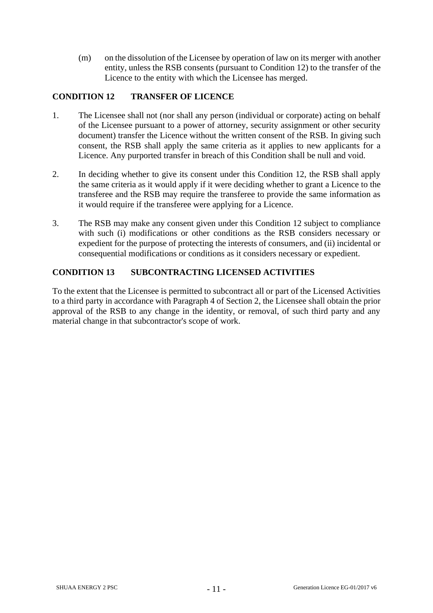(m) on the dissolution of the Licensee by operation of law on its merger with another entity, unless the RSB consents (pursuant to Condition 12) to the transfer of the Licence to the entity with which the Licensee has merged.

## **CONDITION 12 TRANSFER OF LICENCE**

- 1. The Licensee shall not (nor shall any person (individual or corporate) acting on behalf of the Licensee pursuant to a power of attorney, security assignment or other security document) transfer the Licence without the written consent of the RSB. In giving such consent, the RSB shall apply the same criteria as it applies to new applicants for a Licence. Any purported transfer in breach of this Condition shall be null and void.
- 2. In deciding whether to give its consent under this Condition 12, the RSB shall apply the same criteria as it would apply if it were deciding whether to grant a Licence to the transferee and the RSB may require the transferee to provide the same information as it would require if the transferee were applying for a Licence.
- 3. The RSB may make any consent given under this Condition 12 subject to compliance with such (i) modifications or other conditions as the RSB considers necessary or expedient for the purpose of protecting the interests of consumers, and (ii) incidental or consequential modifications or conditions as it considers necessary or expedient.

## **CONDITION 13 SUBCONTRACTING LICENSED ACTIVITIES**

To the extent that the Licensee is permitted to subcontract all or part of the Licensed Activities to a third party in accordance with Paragraph 4 of Section 2, the Licensee shall obtain the prior approval of the RSB to any change in the identity, or removal, of such third party and any material change in that subcontractor's scope of work.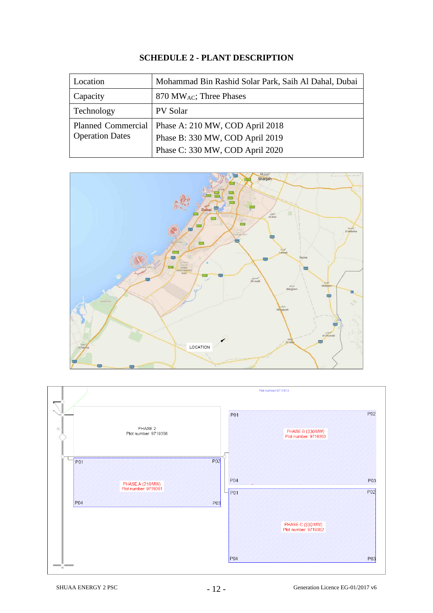## **SCHEDULE 2 - PLANT DESCRIPTION**

| Location                  | Mohammad Bin Rashid Solar Park, Saih Al Dahal, Dubai |
|---------------------------|------------------------------------------------------|
| Capacity                  | $870$ MW <sub>AC</sub> ; Three Phases                |
| Technology                | PV Solar                                             |
| <b>Planned Commercial</b> | Phase A: 210 MW, COD April 2018                      |
| <b>Operation Dates</b>    | Phase B: 330 MW, COD April 2019                      |
|                           | Phase C: 330 MW, COD April 2020                      |